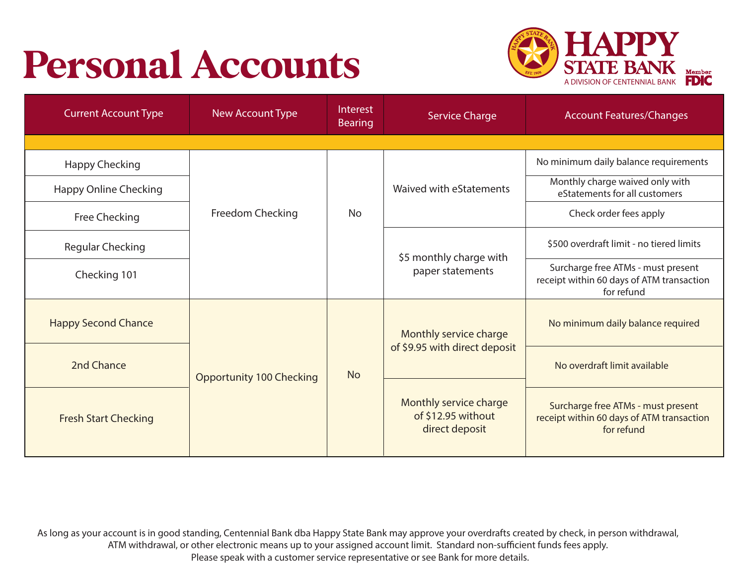# Personal Accounts



| <b>Current Account Type</b>  | New Account Type                | Interest<br><b>Bearing</b> | <b>Service Charge</b>                                          | <b>Account Features/Changes</b>                                                               |
|------------------------------|---------------------------------|----------------------------|----------------------------------------------------------------|-----------------------------------------------------------------------------------------------|
|                              |                                 |                            |                                                                |                                                                                               |
| <b>Happy Checking</b>        |                                 |                            | Waived with eStatements                                        | No minimum daily balance requirements                                                         |
| <b>Happy Online Checking</b> |                                 |                            |                                                                | Monthly charge waived only with<br>eStatements for all customers                              |
| Free Checking                | Freedom Checking                | <b>No</b>                  |                                                                | Check order fees apply                                                                        |
| <b>Regular Checking</b>      |                                 |                            | \$5 monthly charge with<br>paper statements                    | \$500 overdraft limit - no tiered limits                                                      |
| Checking 101                 |                                 |                            |                                                                | Surcharge free ATMs - must present<br>receipt within 60 days of ATM transaction<br>for refund |
| <b>Happy Second Chance</b>   | <b>Opportunity 100 Checking</b> | <b>No</b>                  | Monthly service charge<br>of \$9.95 with direct deposit        | No minimum daily balance required                                                             |
| 2nd Chance                   |                                 |                            |                                                                | No overdraft limit available                                                                  |
| <b>Fresh Start Checking</b>  |                                 |                            | Monthly service charge<br>of \$12.95 without<br>direct deposit | Surcharge free ATMs - must present<br>receipt within 60 days of ATM transaction<br>for refund |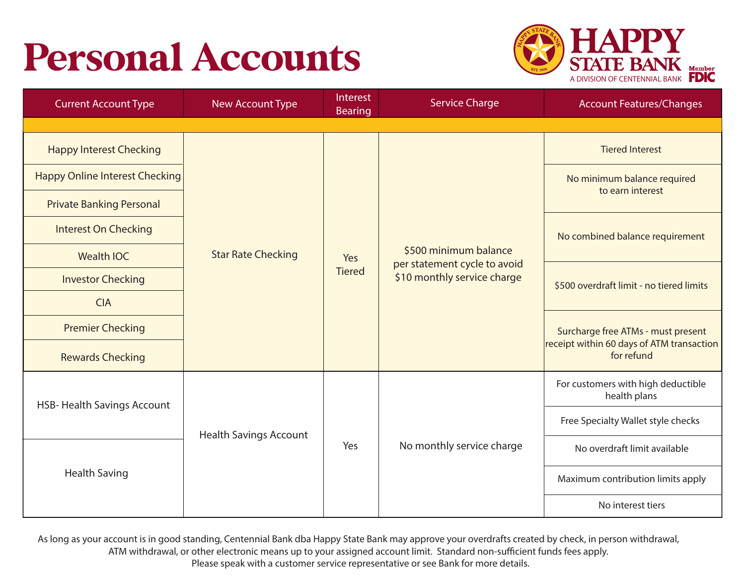## Personal Accounts



| <b>Current Account Type</b>           | <b>New Account Type</b>       | Interest<br><b>Bearing</b> | <b>Service Charge</b>                                                                | <b>Account Features/Changes</b>                         |
|---------------------------------------|-------------------------------|----------------------------|--------------------------------------------------------------------------------------|---------------------------------------------------------|
|                                       |                               |                            |                                                                                      |                                                         |
| <b>Happy Interest Checking</b>        |                               |                            | \$500 minimum balance<br>per statement cycle to avoid<br>\$10 monthly service charge | <b>Tiered Interest</b>                                  |
| <b>Happy Online Interest Checking</b> |                               |                            |                                                                                      | No minimum balance required<br>to earn interest         |
| <b>Private Banking Personal</b>       |                               |                            |                                                                                      |                                                         |
| <b>Interest On Checking</b>           | <b>Star Rate Checking</b>     |                            |                                                                                      | No combined balance requirement                         |
| <b>Wealth IOC</b>                     |                               | Yes                        |                                                                                      |                                                         |
| <b>Investor Checking</b>              |                               | <b>Tiered</b>              |                                                                                      | \$500 overdraft limit - no tiered limits                |
| <b>CIA</b>                            |                               |                            |                                                                                      |                                                         |
| <b>Premier Checking</b>               |                               |                            |                                                                                      | Surcharge free ATMs - must present                      |
| <b>Rewards Checking</b>               |                               |                            |                                                                                      | receipt within 60 days of ATM transaction<br>for refund |
| <b>HSB-Health Savings Account</b>     | <b>Health Savings Account</b> | Yes                        | No monthly service charge                                                            | For customers with high deductible<br>health plans      |
| <b>Health Saving</b>                  |                               |                            |                                                                                      | Free Specialty Wallet style checks                      |
|                                       |                               |                            |                                                                                      | No overdraft limit available                            |
|                                       |                               |                            |                                                                                      | Maximum contribution limits apply                       |
|                                       |                               |                            |                                                                                      | No interest tiers                                       |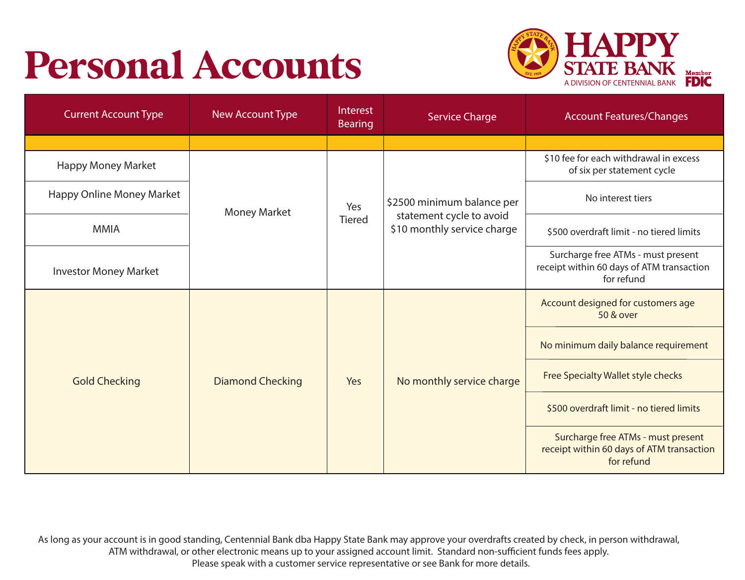# Personal Accounts



| <b>Current Account Type</b>  | New Account Type        | Interest<br><b>Bearing</b> | <b>Service Charge</b>                                                                 | <b>Account Features/Changes</b>                                                               |
|------------------------------|-------------------------|----------------------------|---------------------------------------------------------------------------------------|-----------------------------------------------------------------------------------------------|
|                              |                         |                            |                                                                                       |                                                                                               |
| <b>Happy Money Market</b>    | <b>Money Market</b>     | Yes<br><b>Tiered</b>       | \$2500 minimum balance per<br>statement cycle to avoid<br>\$10 monthly service charge | \$10 fee for each withdrawal in excess<br>of six per statement cycle                          |
| Happy Online Money Market    |                         |                            |                                                                                       | No interest tiers                                                                             |
| <b>MMIA</b>                  |                         |                            |                                                                                       | \$500 overdraft limit - no tiered limits                                                      |
| <b>Investor Money Market</b> |                         |                            |                                                                                       | Surcharge free ATMs - must present<br>receipt within 60 days of ATM transaction<br>for refund |
|                              |                         |                            |                                                                                       | Account designed for customers age<br>50 & over                                               |
|                              | <b>Diamond Checking</b> | Yes                        | No monthly service charge                                                             | No minimum daily balance requirement                                                          |
| <b>Gold Checking</b>         |                         |                            |                                                                                       | Free Specialty Wallet style checks                                                            |
|                              |                         |                            |                                                                                       | \$500 overdraft limit - no tiered limits                                                      |
|                              |                         |                            |                                                                                       | Surcharge free ATMs - must present<br>receipt within 60 days of ATM transaction<br>for refund |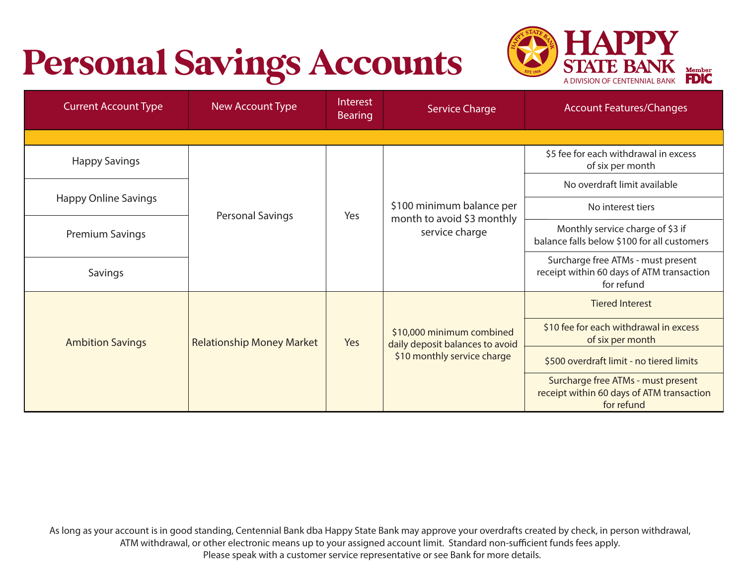### Personal Savings Accounts STATE BANK



| <b>Current Account Type</b> | New Account Type                 | Interest<br><b>Bearing</b> | <b>Service Charge</b>                                                                       | <b>Account Features/Changes</b>                                                               |
|-----------------------------|----------------------------------|----------------------------|---------------------------------------------------------------------------------------------|-----------------------------------------------------------------------------------------------|
|                             |                                  |                            |                                                                                             |                                                                                               |
| <b>Happy Savings</b>        |                                  |                            |                                                                                             | \$5 fee for each withdrawal in excess<br>of six per month                                     |
|                             |                                  |                            |                                                                                             | No overdraft limit available                                                                  |
| <b>Happy Online Savings</b> | <b>Personal Savings</b>          | Yes                        | \$100 minimum balance per<br>month to avoid \$3 monthly<br>service charge                   | No interest tiers                                                                             |
| <b>Premium Savings</b>      |                                  |                            |                                                                                             | Monthly service charge of \$3 if<br>balance falls below \$100 for all customers               |
| Savings                     |                                  |                            |                                                                                             | Surcharge free ATMs - must present<br>receipt within 60 days of ATM transaction<br>for refund |
|                             |                                  |                            |                                                                                             | <b>Tiered Interest</b>                                                                        |
| <b>Ambition Savings</b>     | <b>Relationship Money Market</b> | Yes                        | \$10,000 minimum combined<br>daily deposit balances to avoid<br>\$10 monthly service charge | \$10 fee for each withdrawal in excess<br>of six per month                                    |
|                             |                                  |                            |                                                                                             | \$500 overdraft limit - no tiered limits                                                      |
|                             |                                  |                            |                                                                                             | Surcharge free ATMs - must present<br>receipt within 60 days of ATM transaction<br>for refund |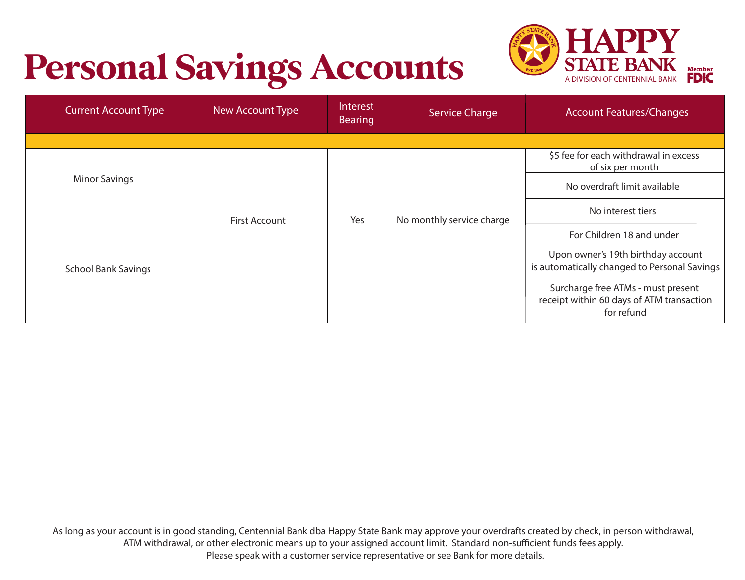## Personal Savings Accounts STATE BANK



| <b>Current Account Type</b> | New Account Type | Interest<br><b>Bearing</b> | <b>Service Charge</b>     | <b>Account Features/Changes</b>                                                               |
|-----------------------------|------------------|----------------------------|---------------------------|-----------------------------------------------------------------------------------------------|
|                             |                  |                            |                           |                                                                                               |
|                             |                  |                            |                           | \$5 fee for each withdrawal in excess<br>of six per month                                     |
| <b>Minor Savings</b>        |                  | Yes                        | No monthly service charge | No overdraft limit available                                                                  |
|                             | First Account    |                            |                           | No interest tiers                                                                             |
|                             |                  |                            |                           | For Children 18 and under                                                                     |
| <b>School Bank Savings</b>  |                  |                            |                           | Upon owner's 19th birthday account<br>is automatically changed to Personal Savings            |
|                             |                  |                            |                           | Surcharge free ATMs - must present<br>receipt within 60 days of ATM transaction<br>for refund |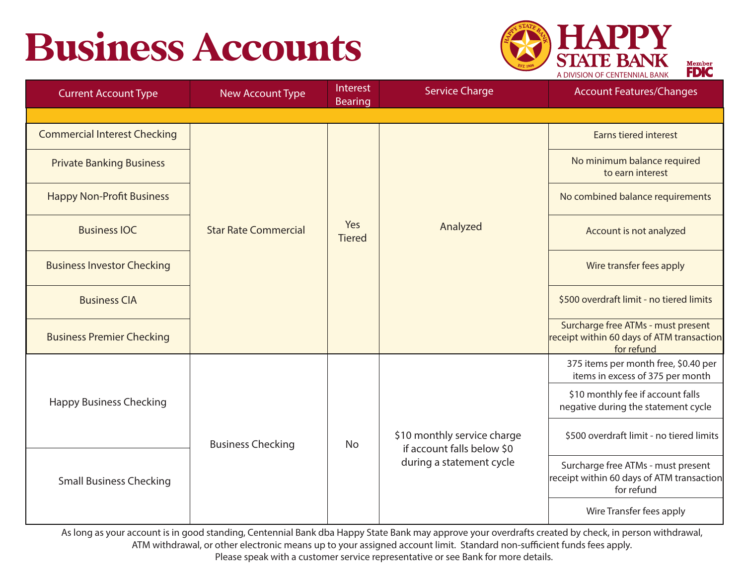

Member **FDIC** 

| <b>Current Account Type</b>         | New Account Type            | Interest<br><b>Bearing</b> | <b>Service Charge</b>                                                                 | <b>Account Features/Changes</b>                                                               |
|-------------------------------------|-----------------------------|----------------------------|---------------------------------------------------------------------------------------|-----------------------------------------------------------------------------------------------|
|                                     |                             |                            |                                                                                       |                                                                                               |
| <b>Commercial Interest Checking</b> |                             |                            | Analyzed                                                                              | Earns tiered interest                                                                         |
| <b>Private Banking Business</b>     |                             |                            |                                                                                       | No minimum balance required<br>to earn interest                                               |
| <b>Happy Non-Profit Business</b>    |                             |                            |                                                                                       | No combined balance requirements                                                              |
| <b>Business IOC</b>                 | <b>Star Rate Commercial</b> | Yes<br><b>Tiered</b>       |                                                                                       | Account is not analyzed                                                                       |
| <b>Business Investor Checking</b>   |                             |                            |                                                                                       | Wire transfer fees apply                                                                      |
| <b>Business CIA</b>                 |                             |                            |                                                                                       | \$500 overdraft limit - no tiered limits                                                      |
| <b>Business Premier Checking</b>    |                             |                            |                                                                                       | Surcharge free ATMs - must present<br>receipt within 60 days of ATM transaction<br>for refund |
|                                     |                             |                            |                                                                                       | 375 items per month free, \$0.40 per<br>items in excess of 375 per month                      |
| <b>Happy Business Checking</b>      |                             | <b>No</b>                  | \$10 monthly service charge<br>if account falls below \$0<br>during a statement cycle | \$10 monthly fee if account falls<br>negative during the statement cycle                      |
| <b>Small Business Checking</b>      | <b>Business Checking</b>    |                            |                                                                                       | \$500 overdraft limit - no tiered limits                                                      |
|                                     |                             |                            |                                                                                       | Surcharge free ATMs - must present<br>receipt within 60 days of ATM transaction<br>for refund |
|                                     |                             |                            |                                                                                       | Wire Transfer fees apply                                                                      |

As long as your account is in good standing, Centennial Bank dba Happy State Bank may approve your overdrafts created by check, in person withdrawal, ATM withdrawal, or other electronic means up to your assigned account limit. Standard non-sufficient funds fees apply.

Please speak with a customer service representative or see Bank for more details.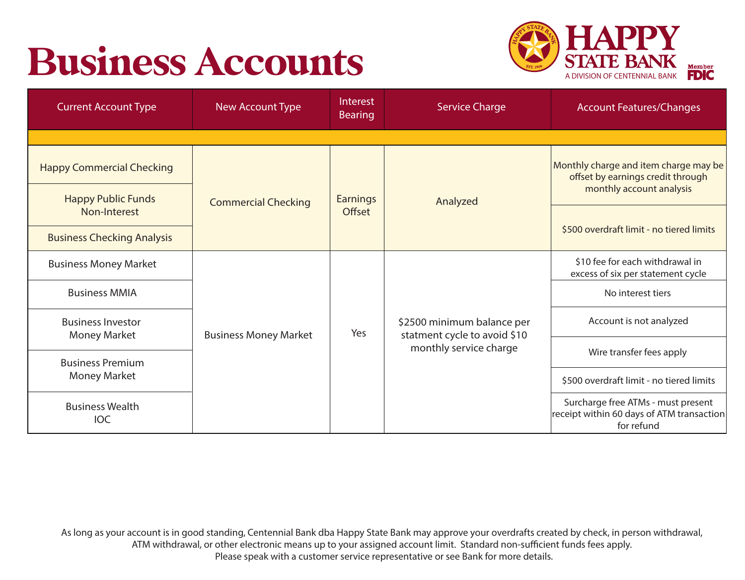

| <b>Current Account Type</b>                                   | <b>New Account Type</b>      | Interest<br><b>Bearing</b> | <b>Service Charge</b>                                                                | <b>Account Features/Changes</b>                                                                        |
|---------------------------------------------------------------|------------------------------|----------------------------|--------------------------------------------------------------------------------------|--------------------------------------------------------------------------------------------------------|
|                                                               |                              |                            |                                                                                      |                                                                                                        |
| <b>Happy Commercial Checking</b><br><b>Happy Public Funds</b> |                              | <b>Earnings</b>            |                                                                                      | Monthly charge and item charge may be<br>offset by earnings credit through<br>monthly account analysis |
| Non-Interest                                                  | <b>Commercial Checking</b>   | Offset                     | Analyzed                                                                             |                                                                                                        |
| <b>Business Checking Analysis</b>                             |                              |                            |                                                                                      | \$500 overdraft limit - no tiered limits                                                               |
| <b>Business Money Market</b>                                  |                              |                            |                                                                                      | \$10 fee for each withdrawal in<br>excess of six per statement cycle                                   |
| <b>Business MMIA</b>                                          |                              |                            |                                                                                      | No interest tiers                                                                                      |
| <b>Business Investor</b><br><b>Money Market</b>               | <b>Business Money Market</b> | Yes                        | \$2500 minimum balance per<br>statment cycle to avoid \$10<br>monthly service charge | Account is not analyzed                                                                                |
| <b>Business Premium</b>                                       |                              |                            |                                                                                      | Wire transfer fees apply                                                                               |
| Money Market                                                  |                              |                            |                                                                                      | \$500 overdraft limit - no tiered limits                                                               |
| <b>Business Wealth</b><br><b>IOC</b>                          |                              |                            |                                                                                      | Surcharge free ATMs - must present<br>receipt within 60 days of ATM transaction<br>for refund          |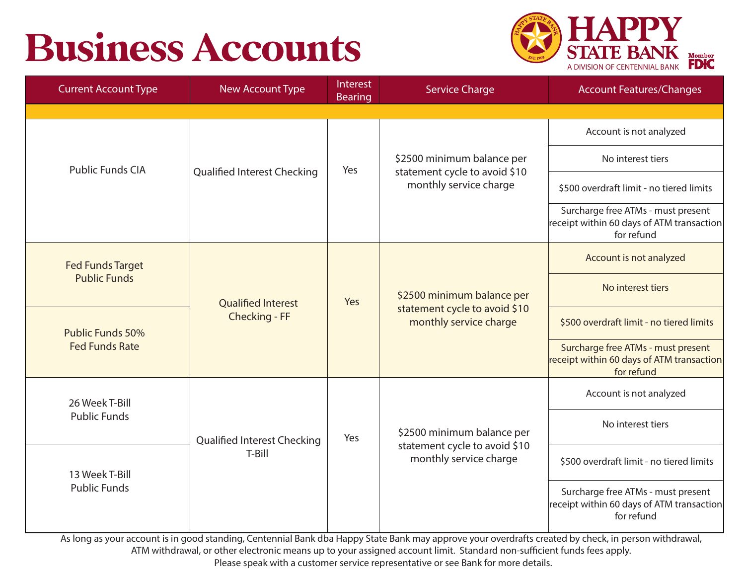

| <b>Current Account Type</b>                                  | <b>New Account Type</b>                    | Interest<br><b>Bearing</b> | <b>Service Charge</b>                                                                 | <b>Account Features/Changes</b>                                                               |
|--------------------------------------------------------------|--------------------------------------------|----------------------------|---------------------------------------------------------------------------------------|-----------------------------------------------------------------------------------------------|
|                                                              |                                            |                            |                                                                                       |                                                                                               |
|                                                              |                                            |                            |                                                                                       | Account is not analyzed                                                                       |
| <b>Public Funds CIA</b>                                      | <b>Qualified Interest Checking</b>         | Yes                        | \$2500 minimum balance per<br>statement cycle to avoid \$10                           | No interest tiers                                                                             |
|                                                              |                                            |                            | monthly service charge                                                                | \$500 overdraft limit - no tiered limits                                                      |
|                                                              |                                            |                            |                                                                                       | Surcharge free ATMs - must present<br>receipt within 60 days of ATM transaction<br>for refund |
| <b>Fed Funds Target</b>                                      | <b>Qualified Interest</b><br>Checking - FF | Yes                        | \$2500 minimum balance per<br>statement cycle to avoid \$10<br>monthly service charge | Account is not analyzed                                                                       |
| <b>Public Funds</b>                                          |                                            |                            |                                                                                       | No interest tiers                                                                             |
| Public Funds 50%<br><b>Fed Funds Rate</b>                    |                                            |                            |                                                                                       | \$500 overdraft limit - no tiered limits                                                      |
|                                                              |                                            |                            |                                                                                       | Surcharge free ATMs - must present<br>receipt within 60 days of ATM transaction<br>for refund |
| 26 Week T-Bill                                               |                                            |                            |                                                                                       | Account is not analyzed                                                                       |
| <b>Public Funds</b><br>13 Week T-Bill<br><b>Public Funds</b> | Qualified Interest Checking<br>T-Bill      | Yes                        | \$2500 minimum balance per<br>statement cycle to avoid \$10<br>monthly service charge | No interest tiers                                                                             |
|                                                              |                                            |                            |                                                                                       | \$500 overdraft limit - no tiered limits                                                      |
|                                                              |                                            |                            |                                                                                       | Surcharge free ATMs - must present<br>receipt within 60 days of ATM transaction<br>for refund |

As long as your account is in good standing, Centennial Bank dba Happy State Bank may approve your overdrafts created by check, in person withdrawal, ATM withdrawal, or other electronic means up to your assigned account limit. Standard non-sufficient funds fees apply.

Please speak with a customer service representative or see Bank for more details.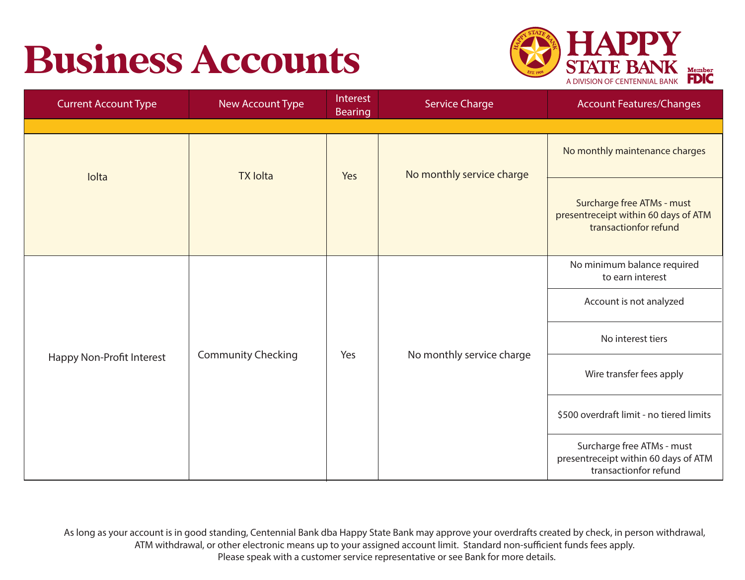

| <b>Current Account Type</b> | New Account Type          | Interest<br><b>Bearing</b> | <b>Service Charge</b>     | <b>Account Features/Changes</b>                                                             |
|-----------------------------|---------------------------|----------------------------|---------------------------|---------------------------------------------------------------------------------------------|
|                             |                           |                            |                           |                                                                                             |
| Iolta                       | <b>TX lolta</b>           | Yes                        | No monthly service charge | No monthly maintenance charges                                                              |
|                             |                           |                            |                           | Surcharge free ATMs - must<br>presentreceipt within 60 days of ATM<br>transactionfor refund |
|                             | <b>Community Checking</b> | Yes                        | No monthly service charge | No minimum balance required<br>to earn interest                                             |
|                             |                           |                            |                           | Account is not analyzed                                                                     |
| Happy Non-Profit Interest   |                           |                            |                           | No interest tiers                                                                           |
|                             |                           |                            |                           | Wire transfer fees apply                                                                    |
|                             |                           |                            |                           | \$500 overdraft limit - no tiered limits                                                    |
|                             |                           |                            |                           | Surcharge free ATMs - must<br>presentreceipt within 60 days of ATM<br>transactionfor refund |